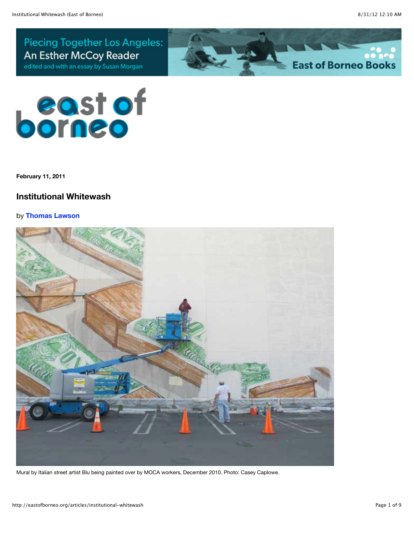**Piecing Together Los Angeles:** An Esther McCoy Reader edited and with an essay by Susan Morgan





**February 11, 2011**

## **Institutional Whitewash**

## by **[Thomas Lawson](http://eastofborneo.org/contributors/16)**



Mural by Italian street artist Blu being painted over by MOCA workers, December 2010. Photo: Casey Caplowe.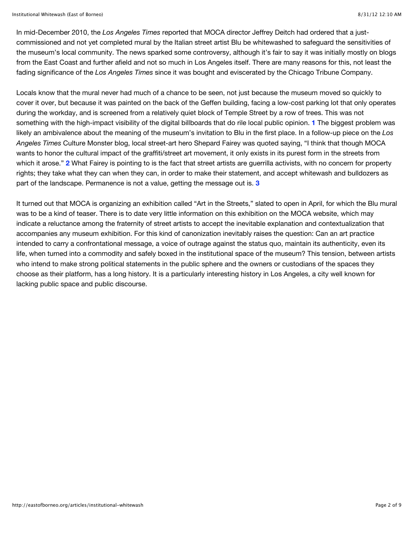In mid-December 2010, the *Los Angeles Times* reported that MOCA director Jeffrey Deitch had ordered that a justcommissioned and not yet completed mural by the Italian street artist Blu be whitewashed to safeguard the sensitivities of the museum's local community. The news sparked some controversy, although it's fair to say it was initially mostly on blogs from the East Coast and further afield and not so much in Los Angeles itself. There are many reasons for this, not least the fading significance of the *Los Angeles Times* since it was bought and eviscerated by the Chicago Tribune Company.

Locals know that the mural never had much of a chance to be seen, not just because the museum moved so quickly to cover it over, but because it was painted on the back of the Geffen building, facing a low-cost parking lot that only operates during the workday, and is screened from a relatively quiet block of Temple Street by a row of trees. This was not something with the high-impact visibility of the digital billboards that do rile local public opinion. **[1](http://eastofborneo.org/articles/institutional-whitewash#footnote-1)** The biggest problem was likely an ambivalence about the meaning of the museum's invitation to Blu in the first place. In a follow-up piece on the *Los Angeles Times* Culture Monster blog, local street-art hero Shepard Fairey was quoted saying, "I think that though MOCA wants to honor the cultural impact of the graffiti/street art movement, it only exists in its purest form in the streets from which it arose." **[2](http://eastofborneo.org/articles/institutional-whitewash#footnote-2)** What Fairey is pointing to is the fact that street artists are guerrilla activists, with no concern for property rights; they take what they can when they can, in order to make their statement, and accept whitewash and bulldozers as part of the landscape. Permanence is not a value, getting the message out is. **[3](http://eastofborneo.org/articles/institutional-whitewash#footnote-3)**

It turned out that MOCA is organizing an exhibition called "Art in the Streets," slated to open in April, for which the Blu mural was to be a kind of teaser. There is to date very little information on this exhibition on the MOCA website, which may indicate a reluctance among the fraternity of street artists to accept the inevitable explanation and contextualization that accompanies any museum exhibition. For this kind of canonization inevitably raises the question: Can an art practice intended to carry a confrontational message, a voice of outrage against the status quo, maintain its authenticity, even its life, when turned into a commodity and safely boxed in the institutional space of the museum? This tension, between artists who intend to make strong political statements in the public sphere and the owners or custodians of the spaces they choose as their platform, has a long history. It is a particularly interesting history in Los Angeles, a city well known for lacking public space and public discourse.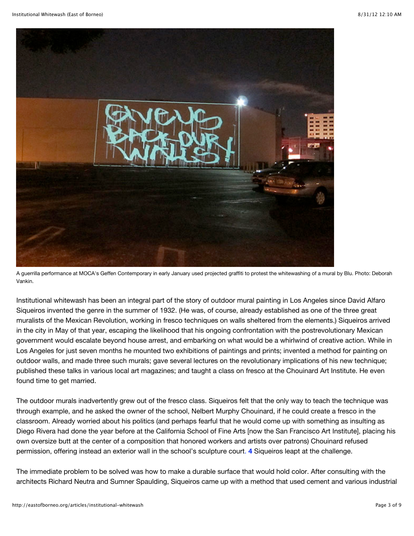

A guerrilla performance at MOCA's Geffen Contemporary in early January used projected graffiti to protest the whitewashing of a mural by Blu. Photo: Deborah Vankin.

Institutional whitewash has been an integral part of the story of outdoor mural painting in Los Angeles since David Alfaro Siqueiros invented the genre in the summer of 1932. (He was, of course, already established as one of the three great muralists of the Mexican Revolution, working in fresco techniques on walls sheltered from the elements.) Siqueiros arrived in the city in May of that year, escaping the likelihood that his ongoing confrontation with the postrevolutionary Mexican government would escalate beyond house arrest, and embarking on what would be a whirlwind of creative action. While in Los Angeles for just seven months he mounted two exhibitions of paintings and prints; invented a method for painting on outdoor walls, and made three such murals; gave several lectures on the revolutionary implications of his new technique; published these talks in various local art magazines; and taught a class on fresco at the Chouinard Art Institute. He even found time to get married.

The outdoor murals inadvertently grew out of the fresco class. Siqueiros felt that the only way to teach the technique was through example, and he asked the owner of the school, Nelbert Murphy Chouinard, if he could create a fresco in the classroom. Already worried about his politics (and perhaps fearful that he would come up with something as insulting as Diego Rivera had done the year before at the California School of Fine Arts [now the San Francisco Art Institute], placing his own oversize butt at the center of a composition that honored workers and artists over patrons) Chouinard refused permission, offering instead an exterior wall in the school's sculpture court. **[4](http://eastofborneo.org/articles/institutional-whitewash#footnote-4)** Siqueiros leapt at the challenge.

The immediate problem to be solved was how to make a durable surface that would hold color. After consulting with the architects Richard Neutra and Sumner Spaulding, Siqueiros came up with a method that used cement and various industrial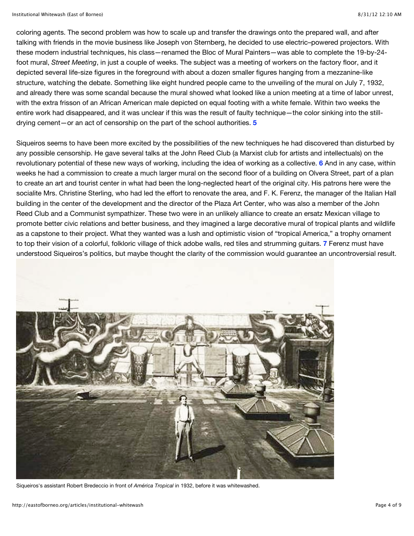coloring agents. The second problem was how to scale up and transfer the drawings onto the prepared wall, and after talking with friends in the movie business like Joseph von Sternberg, he decided to use electric–powered projectors. With these modern industrial techniques, his class—renamed the Bloc of Mural Painters—was able to complete the 19-by-24 foot mural, *Street Meeting*, in just a couple of weeks. The subject was a meeting of workers on the factory floor, and it depicted several life-size figures in the foreground with about a dozen smaller figures hanging from a mezzanine-like structure, watching the debate. Something like eight hundred people came to the unveiling of the mural on July 7, 1932, and already there was some scandal because the mural showed what looked like a union meeting at a time of labor unrest, with the extra frisson of an African American male depicted on equal footing with a white female. Within two weeks the entire work had disappeared, and it was unclear if this was the result of faulty technique—the color sinking into the stilldrying cement—or an act of censorship on the part of the school authorities. **[5](http://eastofborneo.org/articles/institutional-whitewash#footnote-5)**

Siqueiros seems to have been more excited by the possibilities of the new techniques he had discovered than disturbed by any possible censorship. He gave several talks at the John Reed Club (a Marxist club for artists and intellectuals) on the revolutionary potential of these new ways of working, including the idea of working as a collective. **[6](http://eastofborneo.org/articles/institutional-whitewash#footnote-6)** And in any case, within weeks he had a commission to create a much larger mural on the second floor of a building on Olvera Street, part of a plan to create an art and tourist center in what had been the long-neglected heart of the original city. His patrons here were the socialite Mrs. Christine Sterling, who had led the effort to renovate the area, and F. K. Ferenz, the manager of the Italian Hall building in the center of the development and the director of the Plaza Art Center, who was also a member of the John Reed Club and a Communist sympathizer. These two were in an unlikely alliance to create an ersatz Mexican village to promote better civic relations and better business, and they imagined a large decorative mural of tropical plants and wildlife as a capstone to their project. What they wanted was a lush and optimistic vision of "tropical America," a trophy ornament to top their vision of a colorful, folkloric village of thick adobe walls, red tiles and strumming guitars. **[7](http://eastofborneo.org/articles/institutional-whitewash#footnote-7)** Ferenz must have understood Siqueiros's politics, but maybe thought the clarity of the commission would guarantee an uncontroversial result.



Siqueiros's assistant Robert Bredeccio in front of *América Tropical* in 1932, before it was whitewashed.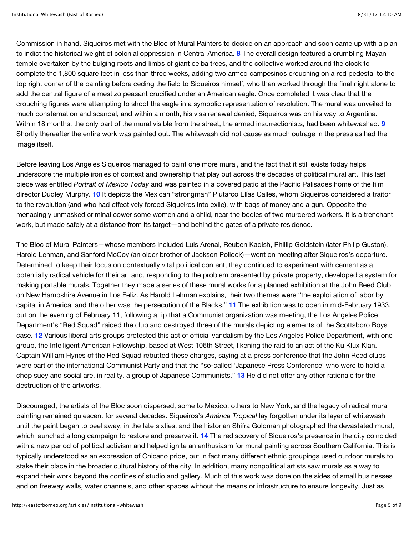Commission in hand, Siqueiros met with the Bloc of Mural Painters to decide on an approach and soon came up with a plan to indict the historical weight of colonial oppression in Central America. **[8](http://eastofborneo.org/articles/institutional-whitewash#footnote-8)** The overall design featured a crumbling Mayan temple overtaken by the bulging roots and limbs of giant ceiba trees, and the collective worked around the clock to complete the 1,800 square feet in less than three weeks, adding two armed campesinos crouching on a red pedestal to the top right corner of the painting before ceding the field to Siqueiros himself, who then worked through the final night alone to add the central figure of a mestizo peasant crucified under an American eagle. Once completed it was clear that the crouching figures were attempting to shoot the eagle in a symbolic representation of revolution. The mural was unveiled to much consternation and scandal, and within a month, his visa renewal denied, Siqueiros was on his way to Argentina. Within 18 months, the only part of the mural visible from the street, the armed insurrectionists, had been whitewashed. **[9](http://eastofborneo.org/articles/institutional-whitewash#footnote-9)** Shortly thereafter the entire work was painted out. The whitewash did not cause as much outrage in the press as had the image itself.

Before leaving Los Angeles Siqueiros managed to paint one more mural, and the fact that it still exists today helps underscore the multiple ironies of context and ownership that play out across the decades of political mural art. This last piece was entitled *Portrait of Mexico Today* and was painted in a covered patio at the Pacific Palisades home of the film director Dudley Murphy. **[10](http://eastofborneo.org/articles/institutional-whitewash#footnote-10)** It depicts the Mexican "strongman" Plutarco Elías Calles, whom Siqueiros considered a traitor to the revolution (and who had effectively forced Siqueiros into exile), with bags of money and a gun. Opposite the menacingly unmasked criminal cower some women and a child, near the bodies of two murdered workers. It is a trenchant work, but made safely at a distance from its target—and behind the gates of a private residence.

The Bloc of Mural Painters—whose members included Luis Arenal, Reuben Kadish, Phillip Goldstein (later Philip Guston), Harold Lehman, and Sanford McCoy (an older brother of Jackson Pollock)—went on meeting after Siqueiros's departure. Determined to keep their focus on contextually vital political content, they continued to experiment with cement as a potentially radical vehicle for their art and, responding to the problem presented by private property, developed a system for making portable murals. Together they made a series of these mural works for a planned exhibition at the John Reed Club on New Hampshire Avenue in Los Feliz. As Harold Lehman explains, their two themes were "the exploitation of labor by capital in America, and the other was the persecution of the Blacks." **[11](http://eastofborneo.org/articles/institutional-whitewash#footnote-11)** The exhibition was to open in mid-February 1933, but on the evening of February 11, following a tip that a Communist organization was meeting, the Los Angeles Police Department's "Red Squad" raided the club and destroyed three of the murals depicting elements of the Scottsboro Boys case. **[12](http://eastofborneo.org/articles/institutional-whitewash#footnote-12)** Various liberal arts groups protested this act of official vandalism by the Los Angeles Police Department, with one group, the Intelligent American Fellowship, based at West 106th Street, likening the raid to an act of the Ku Klux Klan. Captain William Hynes of the Red Squad rebutted these charges, saying at a press conference that the John Reed clubs were part of the international Communist Party and that the "so-called 'Japanese Press Conference' who were to hold a chop suey and social are, in reality, a group of Japanese Communists." **[13](http://eastofborneo.org/articles/institutional-whitewash#footnote-13)** He did not offer any other rationale for the destruction of the artworks.

Discouraged, the artists of the Bloc soon dispersed, some to Mexico, others to New York, and the legacy of radical mural painting remained quiescent for several decades. Siqueiros's *América Tropical* lay forgotten under its layer of whitewash until the paint began to peel away, in the late sixties, and the historian Shifra Goldman photographed the devastated mural, which launched a long campaign to restore and preserve it. **[14](http://eastofborneo.org/articles/institutional-whitewash#footnote-14)** The rediscovery of Siqueiros's presence in the city coincided with a new period of political activism and helped ignite an enthusiasm for mural painting across Southern California. This is typically understood as an expression of Chicano pride, but in fact many different ethnic groupings used outdoor murals to stake their place in the broader cultural history of the city. In addition, many nonpolitical artists saw murals as a way to expand their work beyond the confines of studio and gallery. Much of this work was done on the sides of small businesses and on freeway walls, water channels, and other spaces without the means or infrastructure to ensure longevity. Just as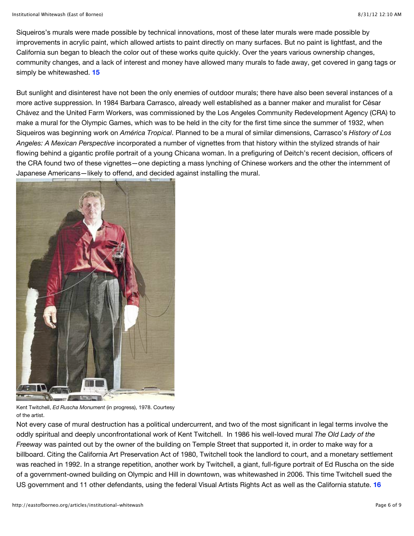Siqueiros's murals were made possible by technical innovations, most of these later murals were made possible by improvements in acrylic paint, which allowed artists to paint directly on many surfaces. But no paint is lightfast, and the California sun began to bleach the color out of these works quite quickly. Over the years various ownership changes, community changes, and a lack of interest and money have allowed many murals to fade away, get covered in gang tags or simply be whitewashed. **[15](http://eastofborneo.org/articles/institutional-whitewash#footnote-15)**

But sunlight and disinterest have not been the only enemies of outdoor murals; there have also been several instances of a more active suppression. In 1984 Barbara Carrasco, already well established as a banner maker and muralist for César Chávez and the United Farm Workers, was commissioned by the Los Angeles Community Redevelopment Agency (CRA) to make a mural for the Olympic Games, which was to be held in the city for the first time since the summer of 1932, when Siqueiros was beginning work on *América Tropical*. Planned to be a mural of similar dimensions, Carrasco's *History of Los Angeles: A Mexican Perspective* incorporated a number of vignettes from that history within the stylized strands of hair flowing behind a gigantic profile portrait of a young Chicana woman. In a prefiguring of Deitch's recent decision, officers of the CRA found two of these vignettes—one depicting a mass lynching of Chinese workers and the other the internment of Japanese Americans—likely to offend, and decided against installing the mural.



Kent Twitchell, *Ed Ruscha Monument* (in progress), 1978. Courtesy of the artist.

Not every case of mural destruction has a political undercurrent, and two of the most significant in legal terms involve the oddly spiritual and deeply unconfrontational work of Kent Twitchell. In 1986 his well-loved mural *The Old Lady of the Freeway* was painted out by the owner of the building on Temple Street that supported it, in order to make way for a billboard. Citing the California Art Preservation Act of 1980, Twitchell took the landlord to court, and a monetary settlement was reached in 1992. In a strange repetition, another work by Twitchell, a giant, full-figure portrait of Ed Ruscha on the side of a government-owned building on Olympic and Hill in downtown, was whitewashed in 2006. This time Twitchell sued the US government and 11 other defendants, using the federal Visual Artists Rights Act as well as the California statute. **[16](http://eastofborneo.org/articles/institutional-whitewash#footnote-16)**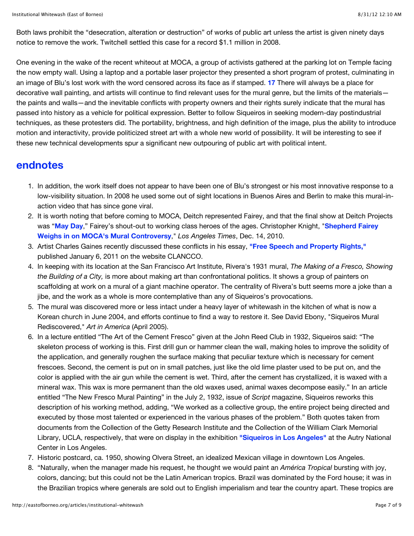Both laws prohibit the "desecration, alteration or destruction" of works of public art unless the artist is given ninety days notice to remove the work. Twitchell settled this case for a record \$1.1 million in 2008.

One evening in the wake of the recent whiteout at MOCA, a group of activists gathered at the parking lot on Temple facing the now empty wall. Using a laptop and a portable laser projector they presented a short program of protest, culminating in an image of Blu's lost work with the word censored across its face as if stamped. **[17](http://eastofborneo.org/articles/institutional-whitewash#footnote-17)** There will always be a place for decorative wall painting, and artists will continue to find relevant uses for the mural genre, but the limits of the materials the paints and walls—and the inevitable conflicts with property owners and their rights surely indicate that the mural has passed into history as a vehicle for political expression. Better to follow Siqueiros in seeking modern-day postindustrial techniques, as these protesters did. The portability, brightness, and high definition of the image, plus the ability to introduce motion and interactivity, provide politicized street art with a whole new world of possibility. It will be interesting to see if these new technical developments spur a significant new outpouring of public art with political intent.

## **endnotes**

- 1. In addition, the work itself does not appear to have been one of Blu's strongest or his most innovative response to a low-visibility situation. In 2008 he used some out of sight locations in Buenos Aires and Berlin to make this mural-inaction video that has since gone viral.
- 2. It is worth noting that before coming to MOCA, Deitch represented Fairey, and that the final show at Deitch Projects was "**[May Day](http://www.deitch.com/projects/sub.php?projId=302)**[," Fairey's shout-out to working class heroes of the ages. Christopher Knight, "](http://latimesblogs.latimes.com/culturemonster/2010/12/shepard-fairey-weighs-in-on-mocas-mural-controversy.html%20)**Shepherd Fairey Weighs in on MOCA's Mural Controversy**," *Los Angeles Times*, Dec. 14, 2010.
- 3. Artist Charles Gaines recently discussed these conflicts in his essay, **["Free Speech and Property Rights,"](http://clancco.com/wp/2011/01/06/free-speech_museums_artists_charles-gaines/)** published January 6, 2011 on the website CLANCCO.
- 4. In keeping with its location at the San Francisco Art Institute, Rivera's 1931 mural, *The Making of a Fresco, Showing the Building of a City,* is more about making art than confrontational politics. It shows a group of painters on scaffolding at work on a mural of a giant machine operator. The centrality of Rivera's butt seems more a joke than a jibe, and the work as a whole is more contemplative than any of Siqueiros's provocations.
- 5. The mural was discovered more or less intact under a heavy layer of whitewash in the kitchen of what is now a Korean church in June 2004, and efforts continue to find a way to restore it. See David Ebony, "Siqueiros Mural Rediscovered," *Art in America* (April 2005).
- 6. In a lecture entitled "The Art of the Cement Fresco" given at the John Reed Club in 1932, Siqueiros said: "The skeleton process of working is this. First drill gun or hammer clean the wall, making holes to improve the solidity of the application, and generally roughen the surface making that peculiar texture which is necessary for cement frescoes. Second, the cement is put on in small patches, just like the old lime plaster used to be put on, and the color is applied with the air gun while the cement is wet. Third, after the cement has crystallized, it is waxed with a mineral wax. This wax is more permanent than the old waxes used, animal waxes decompose easily." In an article entitled "The New Fresco Mural Painting" in the July 2, 1932, issue of *Script* magazine, Siqueiros reworks this description of his working method, adding, "We worked as a collective group, the entire project being directed and executed by those most talented or experienced in the various phases of the problem." Both quotes taken from documents from the Collection of the Getty Research Institute and the Collection of the William Clark Memorial Library, UCLA, respectively, that were on display in the exhibition **["Siqueiros in Los Angeles"](http://theautry.org/exhibitions/siqueiros)** at the Autry National Center in Los Angeles.
- 7. Historic postcard, ca. 1950, showing Olvera Street, an idealized Mexican village in downtown Los Angeles.
- 8. "Naturally, when the manager made his request, he thought we would paint an *América Tropical* bursting with joy, colors, dancing; but this could not be the Latin American tropics. Brazil was dominated by the Ford house; it was in the Brazilian tropics where generals are sold out to English imperialism and tear the country apart. These tropics are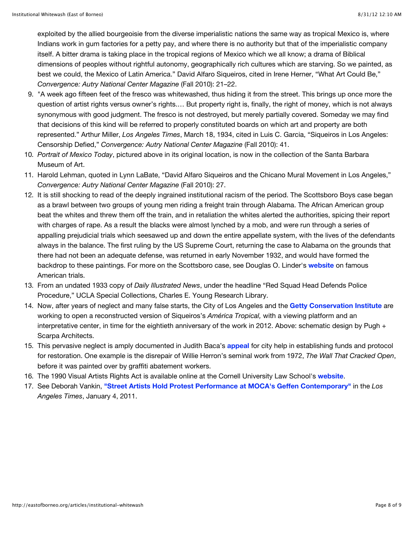exploited by the allied bourgeoisie from the diverse imperialistic nations the same way as tropical Mexico is, where Indians work in gum factories for a petty pay, and where there is no authority but that of the imperialistic company itself. A bitter drama is taking place in the tropical regions of Mexico which we all know; a drama of Biblical dimensions of peoples without rightful autonomy, geographically rich cultures which are starving. So we painted, as best we could, the Mexico of Latin America." David Alfaro Siqueiros, cited in Irene Herner, "What Art Could Be," *Convergence: Autry National Center Magazine* (Fall 2010): 21–22.

- 9. "A week ago fifteen feet of the fresco was whitewashed, thus hiding it from the street. This brings up once more the question of artist rights versus owner's rights.… But property right is, finally, the right of money, which is not always synonymous with good judgment. The fresco is not destroyed, but merely partially covered. Someday we may find that decisions of this kind will be referred to properly constituted boards on which art and property are both represented." Arthur Miller, *Los Angeles Times*, March 18, 1934, cited in Luis C. Garcia, "Siqueiros in Los Angeles: Censorship Defied," *Convergence: Autry National Center Magazine* (Fall 2010): 41.
- 10. *Portrait of Mexico Today*, pictured above in its original location, is now in the collection of the Santa Barbara Museum of Art.
- 11. Harold Lehman, quoted in Lynn LaBate, "David Alfaro Siqueiros and the Chicano Mural Movement in Los Angeles," *Convergence: Autry National Center Magazine* (Fall 2010): 27.
- 12. It is still shocking to read of the deeply ingrained institutional racism of the period. The Scottsboro Boys case began as a brawl between two groups of young men riding a freight train through Alabama. The African American group beat the whites and threw them off the train, and in retaliation the whites alerted the authorities, spicing their report with charges of rape. As a result the blacks were almost lynched by a mob, and were run through a series of appalling prejudicial trials which seesawed up and down the entire appellate system, with the lives of the defendants always in the balance. The first ruling by the US Supreme Court, returning the case to Alabama on the grounds that there had not been an adequate defense, was returned in early November 1932, and would have formed the backdrop to these paintings. For more on the Scottsboro case, see Douglas O. Linder's **[website](http://www.law.umkc.edu/faculty/projects/FTrials/scottsboro/scottsb.htm)** on famous American trials.
- 13. From an undated 1933 copy of *Daily Illustrated News*, under the headline "Red Squad Head Defends Police Procedure," UCLA Special Collections, Charles E. Young Research Library.
- 14. Now, after years of neglect and many false starts, the City of Los Angeles and the **[Getty Conservation Institute](http://www.getty.edu/conservation/field_projects/siqueiros/)** are working to open a reconstructed version of Siqueiros's *América Tropical,* with a viewing platform and an interpretative center, in time for the eightieth anniversary of the work in 2012. Above: schematic design by Pugh + Scarpa Architects.
- 15. This pervasive neglect is amply documented in Judith Baca's **[appeal](http://www.savelamurals.org/now/index.php)** for city help in establishing funds and protocol for restoration. One example is the disrepair of Willie Herron's seminal work from 1972, *The Wall That Cracked Open*, before it was painted over by graffiti abatement workers.
- 16. The 1990 Visual Artists Rights Act is available online at the Cornell University Law School's **[website](http://www.law.cornell.edu/uscode/17/106A.html)**.
- 17. See Deborah Vankin, **["Street Artists Hold Protest Performance at MOCA's Geffen Contemporary"](http://latimesblogs.latimes.com/culturemonster/2011/01/street-artists-protest-moca-geffen-contemporary-blu.html)** in the *Los Angeles Times*, January 4, 2011.